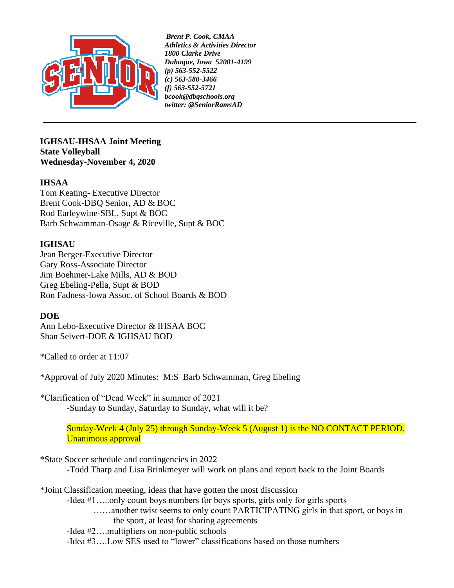

*Brent P. Cook, CMAA Athletics & Activities Director 1800 Clarke Drive Dubuque, Iowa 52001-4199 (p) 563-552-5522 (c) 563-580-3466 (f) 563-552-5721 [bcook@dbqschools.org](mailto:bcook@dbqschools.org) twitter: @SeniorRamsAD*

**IGHSAU-IHSAA Joint Meeting State Volleyball Wednesday-November 4, 2020**

## **IHSAA**

Tom Keating- Executive Director Brent Cook-DBQ Senior, AD & BOC Rod Earleywine-SBL, Supt & BOC Barb Schwamman-Osage & Riceville, Supt & BOC

## **IGHSAU**

Jean Berger-Executive Director Gary Ross-Associate Director Jim Boehmer-Lake Mills, AD & BOD Greg Ebeling-Pella, Supt & BOD Ron Fadness-Iowa Assoc. of School Boards & BOD

## **DOE**

Ann Lebo-Executive Director & IHSAA BOC Shan Seivert-DOE & IGHSAU BOD

\*Called to order at 11:07

\*Approval of July 2020 Minutes: M:S Barb Schwamman, Greg Ebeling

\*Clarification of "Dead Week" in summer of 2021 -Sunday to Sunday, Saturday to Sunday, what will it be?

> Sunday-Week 4 (July 25) through Sunday-Week 5 (August 1) is the NO CONTACT PERIOD. Unanimous approval

\*State Soccer schedule and contingencies in 2022

-Todd Tharp and Lisa Brinkmeyer will work on plans and report back to the Joint Boards

\*Joint Classification meeting, ideas that have gotten the most discussion

-Idea #1…..only count boys numbers for boys sports, girls only for girls sports ……another twist seems to only count PARTICIPATING girls in that sport, or boys in the sport, at least for sharing agreements

-Idea #2….multipliers on non-public schools

-Idea #3….Low SES used to "lower" classifications based on those numbers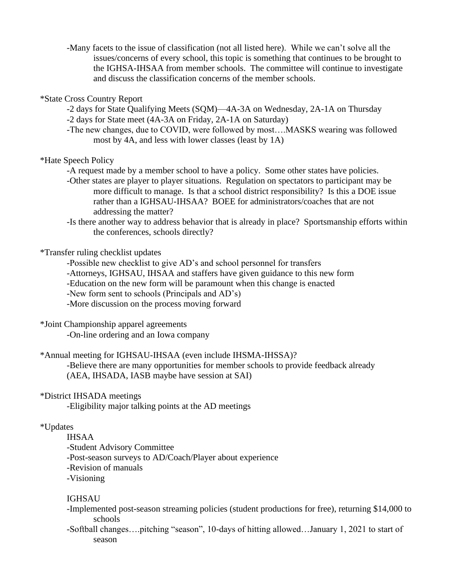-Many facets to the issue of classification (not all listed here). While we can't solve all the issues/concerns of every school, this topic is something that continues to be brought to the IGHSA-IHSAA from member schools. The committee will continue to investigate and discuss the classification concerns of the member schools.

### \*State Cross Country Report

- -2 days for State Qualifying Meets (SQM)—4A-3A on Wednesday, 2A-1A on Thursday
- -2 days for State meet (4A-3A on Friday, 2A-1A on Saturday)
- -The new changes, due to COVID, were followed by most….MASKS wearing was followed most by 4A, and less with lower classes (least by 1A)

### \*Hate Speech Policy

- -A request made by a member school to have a policy. Some other states have policies.
- -Other states are player to player situations. Regulation on spectators to participant may be more difficult to manage. Is that a school district responsibility? Is this a DOE issue rather than a IGHSAU-IHSAA? BOEE for administrators/coaches that are not addressing the matter?
- -Is there another way to address behavior that is already in place? Sportsmanship efforts within the conferences, schools directly?

### \*Transfer ruling checklist updates

-Possible new checklist to give AD's and school personnel for transfers -Attorneys, IGHSAU, IHSAA and staffers have given guidance to this new form -Education on the new form will be paramount when this change is enacted -New form sent to schools (Principals and AD's) -More discussion on the process moving forward

# \*Joint Championship apparel agreements

-On-line ordering and an Iowa company

## \*Annual meeting for IGHSAU-IHSAA (even include IHSMA-IHSSA)?

-Believe there are many opportunities for member schools to provide feedback already (AEA, IHSADA, IASB maybe have session at SAI)

## \*District IHSADA meetings

-Eligibility major talking points at the AD meetings

## \*Updates

IHSAA -Student Advisory Committee -Post-season surveys to AD/Coach/Player about experience -Revision of manuals -Visioning

### IGHSAU

- -Implemented post-season streaming policies (student productions for free), returning \$14,000 to schools
- -Softball changes….pitching "season", 10-days of hitting allowed…January 1, 2021 to start of season